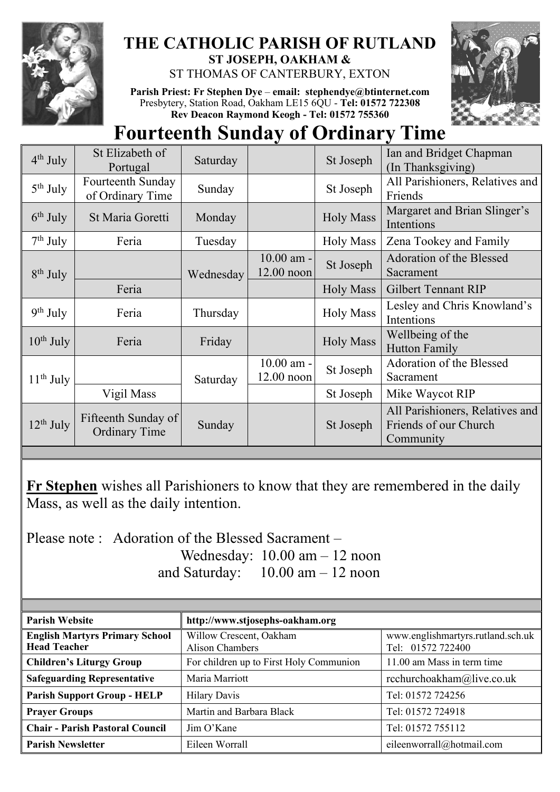

## **THE CATHOLIC PARISH OF RUTLAND ST JOSEPH, OAKHAM &**  ST THOMAS OF CANTERBURY, EXTON

**Parish Priest: Fr Stephen Dye** – **[email: stephendye@btinternet.com](mailto:email:%20%20stephendye@btinternet.com)** Presbytery, Station Road, Oakham LE15 6QU - **Tel: 01572 722308 Rev Deacon Raymond Keogh - Tel: 01572 755360**



## **Fourteenth Sunday of Ordinary Time**

| $4th$ July     | St Elizabeth of<br>Portugal                 | Saturday  |                              | St Joseph        | Ian and Bridget Chapman<br>(In Thanksgiving)                          |  |
|----------------|---------------------------------------------|-----------|------------------------------|------------------|-----------------------------------------------------------------------|--|
| $5th$ July     | Fourteenth Sunday<br>of Ordinary Time       | Sunday    |                              | St Joseph        | All Parishioners, Relatives and<br>Friends                            |  |
| $6th$ July     | St Maria Goretti                            | Monday    |                              | <b>Holy Mass</b> | Margaret and Brian Slinger's<br>Intentions                            |  |
| $7th$ July     | Feria                                       | Tuesday   |                              | <b>Holy Mass</b> | Zena Tookey and Family                                                |  |
| $8th$ July     |                                             | Wednesday | 10.00 am -<br>$12.00$ noon   | St Joseph        | Adoration of the Blessed<br>Sacrament                                 |  |
|                | Feria                                       |           |                              | <b>Holy Mass</b> | <b>Gilbert Tennant RIP</b>                                            |  |
| $9th$ July     | Feria                                       | Thursday  |                              | <b>Holy Mass</b> | Lesley and Chris Knowland's<br>Intentions                             |  |
| $10^{th}$ July | Feria                                       | Friday    |                              | <b>Holy Mass</b> | Wellbeing of the<br><b>Hutton Family</b>                              |  |
| $11th$ July    |                                             | Saturday  | $10.00$ am -<br>$12.00$ noon | St Joseph        | Adoration of the Blessed<br>Sacrament                                 |  |
|                | Vigil Mass                                  |           |                              | St Joseph        | Mike Waycot RIP                                                       |  |
| $12^{th}$ July | Fifteenth Sunday of<br><b>Ordinary Time</b> | Sunday    |                              | St Joseph        | All Parishioners, Relatives and<br>Friends of our Church<br>Community |  |
|                |                                             |           |                              |                  |                                                                       |  |

**Fr Stephen** wishes all Parishioners to know that they are remembered in the daily Mass, as well as the daily intention.

Please note : Adoration of the Blessed Sacrament – Wednesday: 10.00 am – 12 noon and Saturday: 10.00 am – 12 noon

| <b>Parish Website</b>                                        | http://www.stjosephs-oakham.org                   |                                                        |  |  |
|--------------------------------------------------------------|---------------------------------------------------|--------------------------------------------------------|--|--|
| <b>English Martyrs Primary School</b><br><b>Head Teacher</b> | Willow Crescent, Oakham<br><b>Alison Chambers</b> | www.englishmartyrs.rutland.sch.uk<br>Tel: 01572 722400 |  |  |
| <b>Children's Liturgy Group</b>                              | For children up to First Holy Communion           | 11.00 am Mass in term time                             |  |  |
| <b>Safeguarding Representative</b>                           | Maria Marriott                                    | rcchurchoakham@live.co.uk                              |  |  |
| <b>Parish Support Group - HELP</b>                           | <b>Hilary Davis</b>                               | Tel: 01572 724256                                      |  |  |
| <b>Prayer Groups</b>                                         | Martin and Barbara Black                          | Tel: 01572 724918                                      |  |  |
| <b>Chair - Parish Pastoral Council</b>                       | Jim O'Kane                                        | Tel: 01572 755112                                      |  |  |
| Parish Newsletter                                            | Eileen Worrall                                    | eileenworrall@hotmail.com                              |  |  |